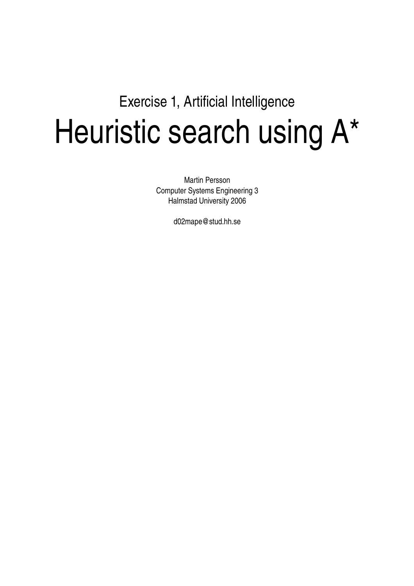# Exercise 1, Artificial Intelligence Heuristic search using A\*

Martin Persson Computer Systems Engineering 3 Halmstad University 2006

d02mape@stud.hh.se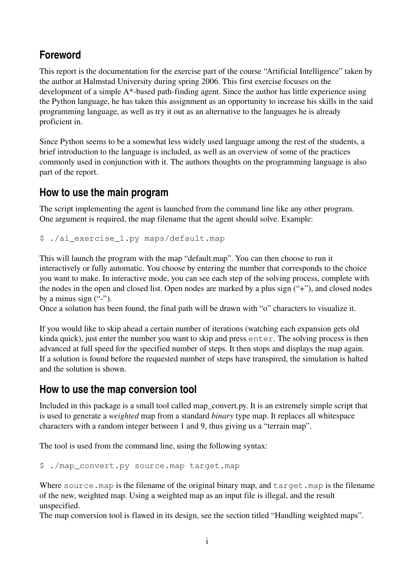## **Foreword**

This report is the documentation for the exercise part of the course "Artificial Intelligence" taken by the author at Halmstad University during spring 2006. This first exercise focuses on the development of a simple  $A^*$ -based path-finding agent. Since the author has little experience using the Python language, he has taken this assignment as an opportunity to increase his skills in the said programming language, as well as try it out as an alternative to the languages he is already proficient in.

Since Python seems to be a somewhat less widely used language among the rest of the students, a brief introduction to the language is included, as well as an overview of some of the practices commonly used in conjunction with it. The authors thoughts on the programming language is also part of the report.

## **How to use the main program**

The script implementing the agent is launched from the command line like any other program. One argument is required, the map filename that the agent should solve. Example:

\$ ./ai\_exercise\_1.py maps/default.map

This will launch the program with the map "default.map". You can then choose to run it interactively or fully automatic. You choose by entering the number that corresponds to the choice you want to make. In interactive mode, you can see each step of the solving process, complete with the nodes in the open and closed list. Open nodes are marked by a plus sign ("+"), and closed nodes by a minus sign  $("$ -").

Once a solution has been found, the final path will be drawn with "o" characters to visualize it.

If you would like to skip ahead a certain number of iterations (watching each expansion gets old kinda quick), just enter the number you want to skip and press enter. The solving process is then advanced at full speed for the specified number of steps. It then stops and displays the map again. If a solution is found before the requested number of steps have transpired, the simulation is halted and the solution is shown.

## **How to use the map conversion tool**

Included in this package is a small tool called map\_convert.py. It is an extremely simple script that is used to generate a *weighted* map from a standard *binary* type map. It replaces all whitespace characters with a random integer between 1 and 9, thus giving us a "terrain map".

The tool is used from the command line, using the following syntax:

```
$ ./map_convert.py source.map target.map
```
Where source, map is the filename of the original binary map, and target, map is the filename of the new, weighted map. Using a weighted map as an input file is illegal, and the result unspecified.

The map conversion tool is flawed in its design, see the section titled "Handling weighted maps".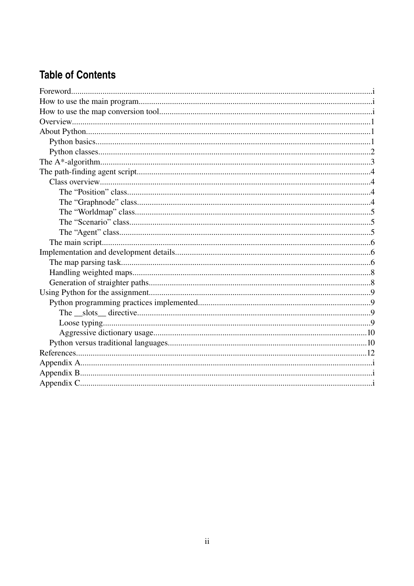# **Table of Contents**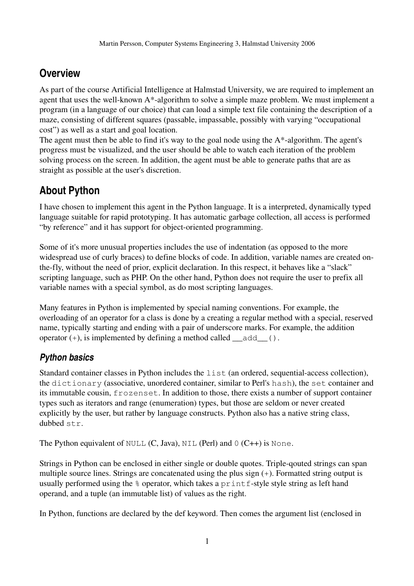# **Overview**

As part of the course Artificial Intelligence at Halmstad University, we are required to implement an agent that uses the well-known  $A^*$ -algorithm to solve a simple maze problem. We must implement a program (in a language of our choice) that can load a simple text file containing the description of a maze, consisting of different squares (passable, impassable, possibly with varying "occupational cost") as well as a start and goal location.

The agent must then be able to find it's way to the goal node using the  $A^*$ -algorithm. The agent's progress must be visualized, and the user should be able to watch each iteration of the problem solving process on the screen. In addition, the agent must be able to generate paths that are as straight as possible at the user's discretion.

# **About Python**

I have chosen to implement this agent in the Python language. It is a interpreted, dynamically typed language suitable for rapid prototyping. It has automatic garbage collection, all access is performed "by reference" and it has support for object-oriented programming.

Some of it's more unusual properties includes the use of indentation (as opposed to the more widespread use of curly braces) to define blocks of code. In addition, variable names are created onthe-fly, without the need of prior, explicit declaration. In this respect, it behaves like a "slack" scripting language, such as PHP. On the other hand, Python does not require the user to prefix all variable names with a special symbol, as do most scripting languages.

Many features in Python is implemented by special naming conventions. For example, the overloading of an operator for a class is done by a creating a regular method with a special, reserved name, typically starting and ending with a pair of underscore marks. For example, the addition operator  $(+)$ , is implemented by defining a method called  $\qquad$  add  $\qquad$  ().

## *Python basics*

Standard container classes in Python includes the list (an ordered, sequential-access collection), the dictionary (associative, unordered container, similar to Perl's hash), the set container and its immutable cousin, frozenset. In addition to those, there exists a number of support container types such as iterators and range (enumeration) types, but those are seldom or never created explicitly by the user, but rather by language constructs. Python also has a native string class, dubbed str.

The Python equivalent of NULL  $(C, Java)$ , NIL  $(Perl)$  and  $0 (C++)$  is None.

Strings in Python can be enclosed in either single or double quotes. Triple-qouted strings can span multiple source lines. Strings are concatenated using the plus sign (+). Formatted string output is usually performed using the  $\frac{1}{2}$  operator, which takes a printf-style style string as left hand operand, and a tuple (an immutable list) of values as the right.

In Python, functions are declared by the def keyword. Then comes the argument list (enclosed in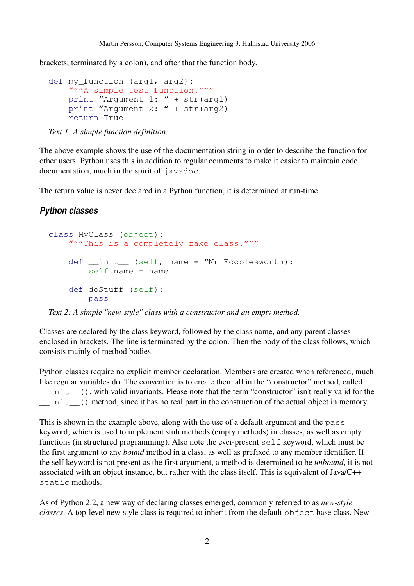brackets, terminated by a colon), and after that the function body.

```
def my function (arg1, arg2):
    """A simple test function."""
        print "Argument 1: " + str(arg1)
        print "Argument 2: " + str(arg2)
        return True
```
*Text 1: A simple function definition.*

The above example shows the use of the documentation string in order to describe the function for other users. Python uses this in addition to regular comments to make it easier to maintain code documentation, much in the spirit of javadoc.

The return value is never declared in a Python function, it is determined at run-time.

#### *Python classes*

```
class MyClass (object):
    """This is a completely fake class."""
    def __init__ (self, name = "Mr Fooblesworth):
        self.name = name    def doStuff (self):
                pass
```
*Text* 2: A simple "new-style" class with a constructor and an empty method.

Classes are declared by the class keyword, followed by the class name, and any parent classes enclosed in brackets. The line is terminated by the colon. Then the body of the class follows, which consists mainly of method bodies.

Python classes require no explicit member declaration. Members are created when referenced, much like regular variables do. The convention is to create them all in the "constructor" method, called \_\_init\_\_(), with valid invariants. Please note that the term "constructor" isn't really valid for the init () method, since it has no real part in the construction of the actual object in memory.

This is shown in the example above, along with the use of a default argument and the pass keyword, which is used to implement stub methods (empty methods) in classes, as well as empty functions (in structured programming). Also note the ever-present  $s \in \mathbb{R}$  keyword, which must be the first argument to any *bound* method in a class, as well as prefixed to any member identifier. If the self keyword is not present as the first argument, a method is determined to be *unbound*, it is not associated with an object instance, but rather with the class itself. This is equivalent of Java/C++ static methods.

As of Python 2.2, a new way of declaring classes emerged, commonly referred to as *new-style classes*. A top-level new-style class is required to inherit from the default object base class. New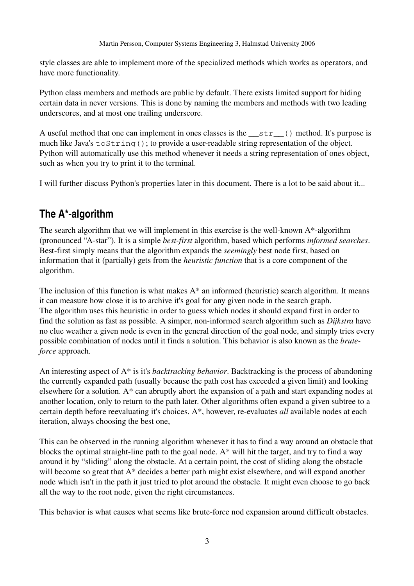style classes are able to implement more of the specialized methods which works as operators, and have more functionality.

Python class members and methods are public by default. There exists limited support for hiding certain data in never versions. This is done by naming the members and methods with two leading underscores, and at most one trailing underscore.

A useful method that one can implement in ones classes is the \_\_str\_\_() method. It's purpose is much like Java's toString(); to provide a user-readable string representation of the object. Python will automatically use this method whenever it needs a string representation of ones object, such as when you try to print it to the terminal.

I will further discuss Python's properties later in this document. There is a lot to be said about it...

## **The A\*algorithm**

The search algorithm that we will implement in this exercise is the well-known  $A^*$ -algorithm (pronounced "A-star"). It is a simple *best-first* algorithm, based which performs *informed searches*. Best-first simply means that the algorithm expands the *seemingly* best node first, based on information that it (partially) gets from the *heuristic function* that is a core component of the algorithm.

The inclusion of this function is what makes  $A^*$  an informed (heuristic) search algorithm. It means it can measure how close it is to archive it's goal for any given node in the search graph. The algorithm uses this heuristic in order to guess which nodes it should expand first in order to find the solution as fast as possible. A simper, non-informed search algorithm such as *Dijkstra* have no clue weather a given node is even in the general direction of the goal node, and simply tries every possible combination of nodes until it finds a solution. This behavior is also known as the *bruteforce* approach.

An interesting aspect of A\* is it's *backtracking behavior*. Backtracking is the process of abandoning the currently expanded path (usually because the path cost has exceeded a given limit) and looking elsewhere for a solution. A\* can abruptly abort the expansion of a path and start expanding nodes at another location, only to return to the path later. Other algorithms often expand a given subtree to a certain depth before reevaluating it's choices. A<sup>\*</sup>, however, re-evaluates *all* available nodes at each iteration, always choosing the best one,

This can be observed in the running algorithm whenever it has to find a way around an obstacle that blocks the optimal straight-line path to the goal node.  $A^*$  will hit the target, and try to find a way around it by "sliding" along the obstacle. At a certain point, the cost of sliding along the obstacle will become so great that A\* decides a better path might exist elsewhere, and will expand another node which isn't in the path it just tried to plot around the obstacle. It might even choose to go back all the way to the root node, given the right circumstances.

This behavior is what causes what seems like brute-force nod expansion around difficult obstacles.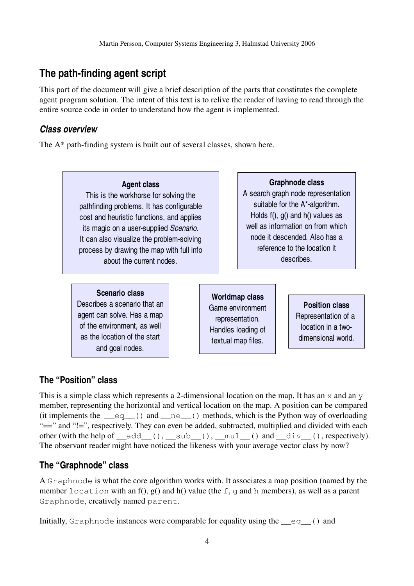## **The path-finding agent script**

This part of the document will give a brief description of the parts that constitutes the complete agent program solution. The intent of this text is to relive the reader of having to read through the entire source code in order to understand how the agent is implemented.

#### *Class overview*

The  $A^*$  path-finding system is built out of several classes, shown here.



#### **The "Position" class**

This is a simple class which represents a 2-dimensional location on the map. It has an  $\times$  and an  $\times$ member, representing the horizontal and vertical location on the map. A position can be compared (it implements the  $eq$  () and  $ne$  () methods, which is the Python way of overloading "==" and "!=", respectively. They can even be added, subtracted, multiplied and divided with each other (with the help of  $add$  (),  $sub$  (),  $mul$  () and  $div$  (), respectively). The observant reader might have noticed the likeness with your average vector class by now?

#### **The "Graphnode" class**

A Graphnode is what the core algorithm works with. It associates a map position (named by the member location with an f(),  $g$ () and h() value (the f, q and h members), as well as a parent Graphnode, creatively named parent.

Initially, Graphnode instances were comparable for equality using the \_\_eq\_\_() and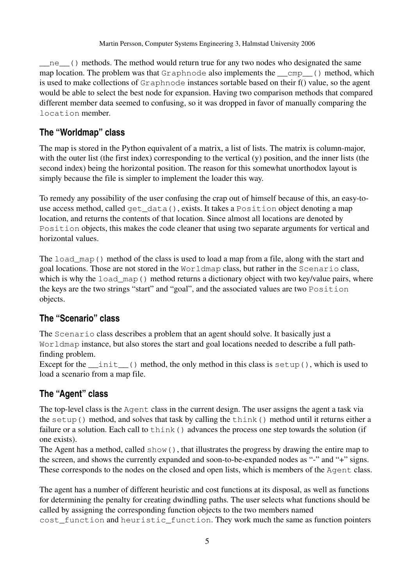ne () methods. The method would return true for any two nodes who designated the same map location. The problem was that Graphnode also implements the  $\Box$ cmp $\Box$  () method, which is used to make collections of Graphnode instances sortable based on their f() value, so the agent would be able to select the best node for expansion. Having two comparison methods that compared different member data seemed to confusing, so it was dropped in favor of manually comparing the location member.

#### **The "Worldmap" class**

The map is stored in the Python equivalent of a matrix, a list of lists. The matrix is column-major, with the outer list (the first index) corresponding to the vertical (y) position, and the inner lists (the second index) being the horizontal position. The reason for this somewhat unorthodox layout is simply because the file is simpler to implement the loader this way.

To remedy any possibility of the user confusing the crap out of himself because of this, an easytouse access method, called get\_data(), exists. It takes a Position object denoting a map location, and returns the contents of that location. Since almost all locations are denoted by Position objects, this makes the code cleaner that using two separate arguments for vertical and horizontal values.

The load\_map() method of the class is used to load a map from a file, along with the start and goal locations. Those are not stored in the Worldmap class, but rather in the Scenario class, which is why the load map() method returns a dictionary object with two key/value pairs, where the keys are the two strings "start" and "goal", and the associated values are two Position objects.

#### **The "Scenario" class**

The Scenario class describes a problem that an agent should solve. It basically just a Worldmap instance, but also stores the start and goal locations needed to describe a full pathfinding problem.

Except for the  $\text{init}($  method, the only method in this class is setup(), which is used to load a scenario from a map file.

## **The "Agent" class**

The top-level class is the Agent class in the current design. The user assigns the agent a task via the setup() method, and solves that task by calling the think() method until it returns either a failure or a solution. Each call to think () advances the process one step towards the solution (if one exists).

The Agent has a method, called show(), that illustrates the progress by drawing the entire map to the screen, and shows the currently expanded and soon-to-be-expanded nodes as "-" and "+" signs. These corresponds to the nodes on the closed and open lists, which is members of the Agent class.

The agent has a number of different heuristic and cost functions at its disposal, as well as functions for determining the penalty for creating dwindling paths. The user selects what functions should be called by assigning the corresponding function objects to the two members named cost\_function and heuristic\_function. They work much the same as function pointers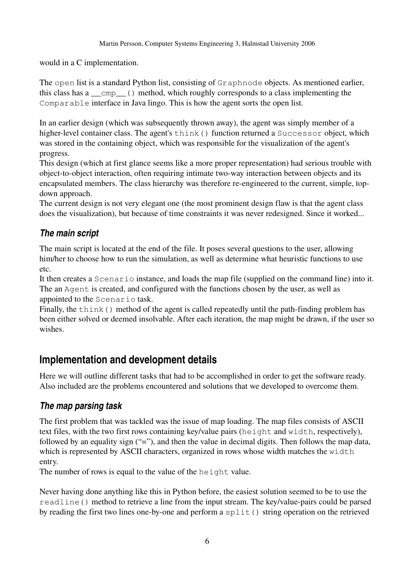would in a C implementation.

The open list is a standard Python list, consisting of Graphnode objects. As mentioned earlier, this class has a \_\_cmp\_\_() method, which roughly corresponds to a class implementing the Comparable interface in Java lingo. This is how the agent sorts the open list.

In an earlier design (which was subsequently thrown away), the agent was simply member of a higher-level container class. The agent's think() function returned a Successor object, which was stored in the containing object, which was responsible for the visualization of the agent's progress.

This design (which at first glance seems like a more proper representation) had serious trouble with object-to-object interaction, often requiring intimate two-way interaction between objects and its encapsulated members. The class hierarchy was therefore re-engineered to the current, simple, topdown approach.

The current design is not very elegant one (the most prominent design flaw is that the agent class does the visualization), but because of time constraints it was never redesigned. Since it worked...

#### *The main script*

The main script is located at the end of the file. It poses several questions to the user, allowing him/her to choose how to run the simulation, as well as determine what heuristic functions to use etc.

It then creates a Scenario instance, and loads the map file (supplied on the command line) into it. The an Agent is created, and configured with the functions chosen by the user, as well as appointed to the Scenario task.

Finally, the think () method of the agent is called repeatedly until the path-finding problem has been either solved or deemed insolvable. After each iteration, the map might be drawn, if the user so wishes.

## **Implementation and development details**

Here we will outline different tasks that had to be accomplished in order to get the software ready. Also included are the problems encountered and solutions that we developed to overcome them.

#### *The map parsing task*

The first problem that was tackled was the issue of map loading. The map files consists of ASCII text files, with the two first rows containing key/value pairs (height and width, respectively), followed by an equality sign ("="), and then the value in decimal digits. Then follows the map data, which is represented by ASCII characters, organized in rows whose width matches the width entry.

The number of rows is equal to the value of the height value.

Never having done anything like this in Python before, the easiest solution seemed to be to use the readline() method to retrieve a line from the input stream. The key/value-pairs could be parsed by reading the first two lines one-by-one and perform a  $\text{split}(\cdot)$  string operation on the retrieved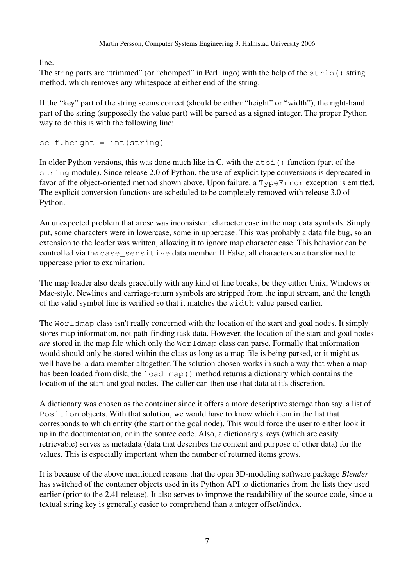line.

The string parts are "trimmed" (or "chomped" in Perl lingo) with the help of the strip() string method, which removes any whitespace at either end of the string.

If the "key" part of the string seems correct (should be either "height" or "width"), the right-hand part of the string (supposedly the value part) will be parsed as a signed integer. The proper Python way to do this is with the following line:

 $self. height = int(string)$ 

In older Python versions, this was done much like in C, with the  $\alpha$  to 1 () function (part of the string module). Since release 2.0 of Python, the use of explicit type conversions is deprecated in favor of the object-oriented method shown above. Upon failure, a  $TypeError$  exception is emitted. The explicit conversion functions are scheduled to be completely removed with release 3.0 of Python.

An unexpected problem that arose was inconsistent character case in the map data symbols. Simply put, some characters were in lowercase, some in uppercase. This was probably a data file bug, so an extension to the loader was written, allowing it to ignore map character case. This behavior can be controlled via the case\_sensitive data member. If False, all characters are transformed to uppercase prior to examination.

The map loader also deals gracefully with any kind of line breaks, be they either Unix, Windows or Mac-style. Newlines and carriage-return symbols are stripped from the input stream, and the length of the valid symbol line is verified so that it matches the width value parsed earlier.

The Worldmap class isn't really concerned with the location of the start and goal nodes. It simply stores map information, not path-finding task data. However, the location of the start and goal nodes *are* stored in the map file which only the Worldmap class can parse. Formally that information would should only be stored within the class as long as a map file is being parsed, or it might as well have be a data member altogether. The solution chosen works in such a way that when a map has been loaded from disk, the load\_map() method returns a dictionary which contains the location of the start and goal nodes. The caller can then use that data at it's discretion.

A dictionary was chosen as the container since it offers a more descriptive storage than say, a list of Position objects. With that solution, we would have to know which item in the list that corresponds to which entity (the start or the goal node). This would force the user to either look it up in the documentation, or in the source code. Also, a dictionary's keys (which are easily retrievable) serves as metadata (data that describes the content and purpose of other data) for the values. This is especially important when the number of returned items grows.

It is because of the above mentioned reasons that the open 3D-modeling software package *Blender* has switched of the container objects used in its Python API to dictionaries from the lists they used earlier (prior to the 2.41 release). It also serves to improve the readability of the source code, since a textual string key is generally easier to comprehend than a integer offset/index.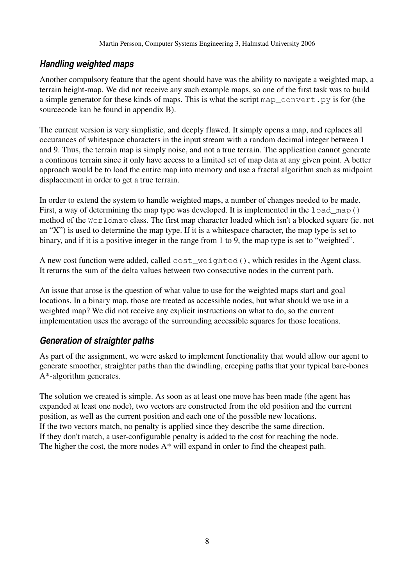### *Handling weighted maps*

Another compulsory feature that the agent should have was the ability to navigate a weighted map, a terrain height-map. We did not receive any such example maps, so one of the first task was to build a simple generator for these kinds of maps. This is what the script map\_convert.py is for (the sourcecode kan be found in appendix B).

The current version is very simplistic, and deeply flawed. It simply opens a map, and replaces all occurances of whitespace characters in the input stream with a random decimal integer between 1 and 9. Thus, the terrain map is simply noise, and not a true terrain. The application cannot generate a continous terrain since it only have access to a limited set of map data at any given point. A better approach would be to load the entire map into memory and use a fractal algorithm such as midpoint displacement in order to get a true terrain.

In order to extend the system to handle weighted maps, a number of changes needed to be made. First, a way of determining the map type was developed. It is implemented in the load map() method of the Worldmap class. The first map character loaded which isn't a blocked square (ie. not an "X") is used to determine the map type. If it is a whitespace character, the map type is set to binary, and if it is a positive integer in the range from 1 to 9, the map type is set to "weighted".

A new cost function were added, called cost weighted(), which resides in the Agent class. It returns the sum of the delta values between two consecutive nodes in the current path.

An issue that arose is the question of what value to use for the weighted maps start and goal locations. In a binary map, those are treated as accessible nodes, but what should we use in a weighted map? We did not receive any explicit instructions on what to do, so the current implementation uses the average of the surrounding accessible squares for those locations.

## *Generation of straighter paths*

As part of the assignment, we were asked to implement functionality that would allow our agent to generate smoother, straighter paths than the dwindling, creeping paths that your typical bare-bones  $A^*$ -algorithm generates.

The solution we created is simple. As soon as at least one move has been made (the agent has expanded at least one node), two vectors are constructed from the old position and the current position, as well as the current position and each one of the possible new locations. If the two vectors match, no penalty is applied since they describe the same direction. If they don't match, a user-configurable penalty is added to the cost for reaching the node. The higher the cost, the more nodes  $A^*$  will expand in order to find the cheapest path.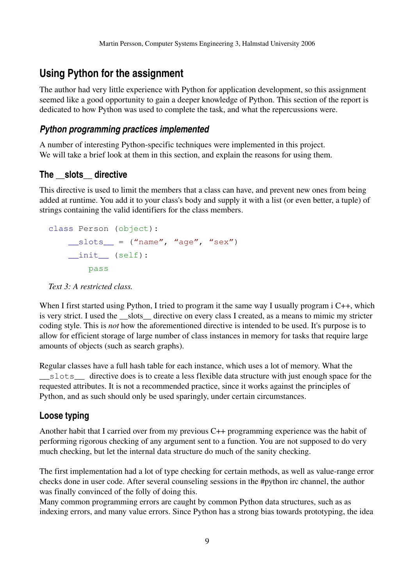## **Using Python for the assignment**

The author had very little experience with Python for application development, so this assignment seemed like a good opportunity to gain a deeper knowledge of Python. This section of the report is dedicated to how Python was used to complete the task, and what the repercussions were.

#### *Python programming practices implemented*

A number of interesting Python-specific techniques were implemented in this project. We will take a brief look at them in this section, and explain the reasons for using them.

#### **The \_\_slots\_\_ directive**

This directive is used to limit the members that a class can have, and prevent new ones from being added at runtime. You add it to your class's body and supply it with a list (or even better, a tuple) of strings containing the valid identifiers for the class members.

```
class Person (object):
    slots = ("name", "age", "sex")init (self):
               pass
```


When I first started using Python, I tried to program it the same way I usually program i C++, which is very strict. I used the slots directive on every class I created, as a means to mimic my stricter coding style. This is *not* how the aforementioned directive is intended to be used. It's purpose is to allow for efficient storage of large number of class instances in memory for tasks that require large amounts of objects (such as search graphs).

Regular classes have a full hash table for each instance, which uses a lot of memory. What the \_\_slots\_\_ directive does is to create a less flexible data structure with just enough space for the requested attributes. It is not a recommended practice, since it works against the principles of Python, and as such should only be used sparingly, under certain circumstances.

#### **Loose typing**

Another habit that I carried over from my previous C++ programming experience was the habit of performing rigorous checking of any argument sent to a function. You are not supposed to do very much checking, but let the internal data structure do much of the sanity checking.

The first implementation had a lot of type checking for certain methods, as well as value-range error checks done in user code. After several counseling sessions in the #python irc channel, the author was finally convinced of the folly of doing this.

Many common programming errors are caught by common Python data structures, such as as indexing errors, and many value errors. Since Python has a strong bias towards prototyping, the idea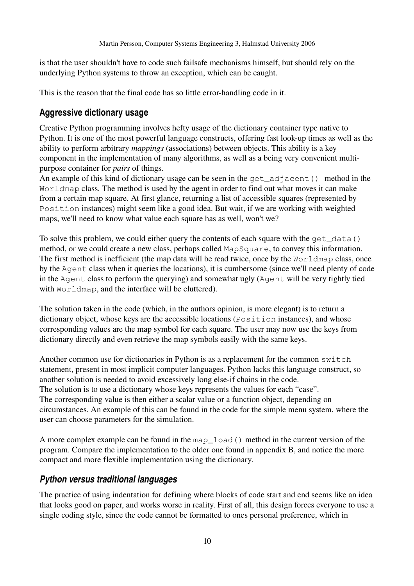is that the user shouldn't have to code such failsafe mechanisms himself, but should rely on the underlying Python systems to throw an exception, which can be caught.

This is the reason that the final code has so little error-handling code in it.

#### **Aggressive dictionary usage**

Creative Python programming involves hefty usage of the dictionary container type native to Python. It is one of the most powerful language constructs, offering fast look-up times as well as the ability to perform arbitrary *mappings* (associations) between objects. This ability is a key component in the implementation of many algorithms, as well as a being very convenient multipurpose container for *pairs* of things.

An example of this kind of dictionary usage can be seen in the get\_adjacent() method in the Worldmap class. The method is used by the agent in order to find out what moves it can make from a certain map square. At first glance, returning a list of accessible squares (represented by Position instances) might seem like a good idea. But wait, if we are working with weighted maps, we'll need to know what value each square has as well, won't we?

To solve this problem, we could either query the contents of each square with the get  $data()$ method, or we could create a new class, perhaps called MapSquare, to convey this information. The first method is inefficient (the map data will be read twice, once by the Worldmap class, once by the Agent class when it queries the locations), it is cumbersome (since we'll need plenty of code in the Agent class to perform the querying) and somewhat ugly (Agent will be very tightly tied with Worldmap, and the interface will be cluttered).

The solution taken in the code (which, in the authors opinion, is more elegant) is to return a dictionary object, whose keys are the accessible locations (Position instances), and whose corresponding values are the map symbol for each square. The user may now use the keys from dictionary directly and even retrieve the map symbols easily with the same keys.

Another common use for dictionaries in Python is as a replacement for the common switch statement, present in most implicit computer languages. Python lacks this language construct, so another solution is needed to avoid excessively long else-if chains in the code. The solution is to use a dictionary whose keys represents the values for each "case". The corresponding value is then either a scalar value or a function object, depending on circumstances. An example of this can be found in the code for the simple menu system, where the user can choose parameters for the simulation.

A more complex example can be found in the map\_load() method in the current version of the program. Compare the implementation to the older one found in appendix B, and notice the more compact and more flexible implementation using the dictionary.

#### *Python versus traditional languages*

The practice of using indentation for defining where blocks of code start and end seems like an idea that looks good on paper, and works worse in reality. First of all, this design forces everyone to use a single coding style, since the code cannot be formatted to ones personal preference, which in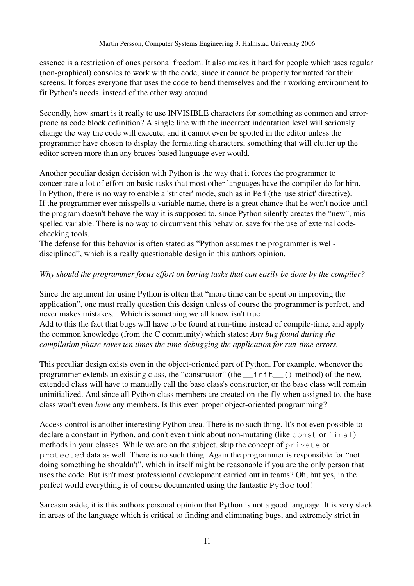essence is a restriction of ones personal freedom. It also makes it hard for people which uses regular (non-graphical) consoles to work with the code, since it cannot be properly formatted for their screens. It forces everyone that uses the code to bend themselves and their working environment to fit Python's needs, instead of the other way around.

Secondly, how smart is it really to use INVISIBLE characters for something as common and errorprone as code block definition? A single line with the incorrect indentation level will seriously change the way the code will execute, and it cannot even be spotted in the editor unless the programmer have chosen to display the formatting characters, something that will clutter up the editor screen more than any braces-based language ever would.

Another peculiar design decision with Python is the way that it forces the programmer to concentrate a lot of effort on basic tasks that most other languages have the compiler do for him. In Python, there is no way to enable a 'stricter' mode, such as in Perl (the 'use strict' directive). If the programmer ever misspells a variable name, there is a great chance that he won't notice until the program doesn't behave the way it is supposed to, since Python silently creates the "new", misspelled variable. There is no way to circumvent this behavior, save for the use of external codechecking tools.

The defense for this behavior is often stated as "Python assumes the programmer is welldisciplined", which is a really questionable design in this authors opinion.

#### *Why should the programmer focus effort on boring tasks that can easily be done by the compiler?*

Since the argument for using Python is often that "more time can be spent on improving the application", one must really question this design unless of course the programmer is perfect, and never makes mistakes... Which is something we all know isn't true.

Add to this the fact that bugs will have to be found at run-time instead of compile-time, and apply the common knowledge (from the C community) which states: *Any bug found during the compilation phase saves ten times the time debugging the application for run-time errors.* 

This peculiar design exists even in the object-oriented part of Python. For example, whenever the programmer extends an existing class, the "constructor" (the \_\_init\_\_() method) of the new, extended class will have to manually call the base class's constructor, or the base class will remain uninitialized. And since all Python class members are created on-the-fly when assigned to, the base class won't even *have* any members. Is this even proper object-oriented programming?

Access control is another interesting Python area. There is no such thing. It's not even possible to declare a constant in Python, and don't even think about non-mutating (like const or final) methods in your classes. While we are on the subject, skip the concept of private or protected data as well. There is no such thing. Again the programmer is responsible for "not doing something he shouldn't", which in itself might be reasonable if you are the only person that uses the code. But isn't most professional development carried out in teams? Oh, but yes, in the perfect world everything is of course documented using the fantastic Pydoc tool!

Sarcasm aside, it is this authors personal opinion that Python is not a good language. It is very slack in areas of the language which is critical to finding and eliminating bugs, and extremely strict in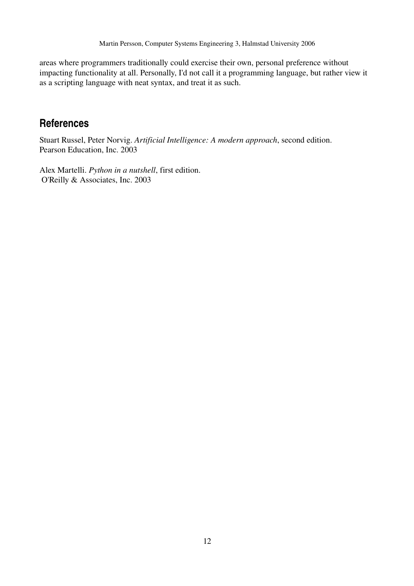areas where programmers traditionally could exercise their own, personal preference without impacting functionality at all. Personally, I'd not call it a programming language, but rather view it as a scripting language with neat syntax, and treat it as such.

## **References**

Stuart Russel, Peter Norvig. *Artificial Intelligence: A modern approach*, second edition. Pearson Education, Inc. 2003

Alex Martelli. *Python in a nutshell*, first edition. O'Reilly & Associates, Inc. 2003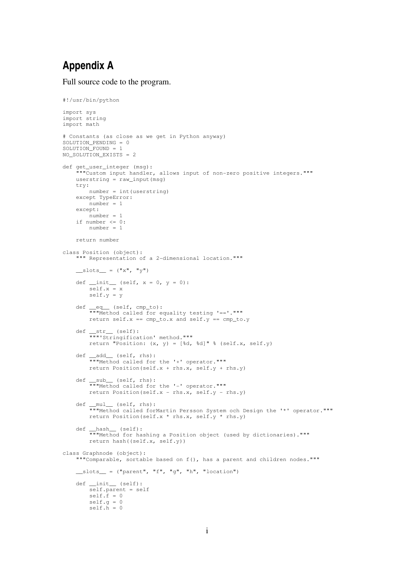## **Appendix A**

Full source code to the program.

```
#!/usr/bin/python
import sys
import string
import math
# Constants (as close as we get in Python anyway)
SOLUTION_PENDING = 0
SOLUTION_FOUND = 1
NO_SOLUTION_EXISTS = 2
def get_user_integer (msg):
        """Custom input handler, allows input of nonzero positive integers."""
        userstring = raw_input(msg)
        try:
                number = int(userstring)
        except TypeError:
        number = 1    except:
        number = 1if number \leq 0:
                number = 1
        return number
class Position (object):
     "" Representation of a 2-dimensional location."""
    \text{lslots} = (\text{''x''}, \text{''y''})def __init__ (self, x = 0, y = 0):
                 self.x = x
                self.y = y
    def __eq__ (self, cmp_to):
        """Method called for equality testing '=='."""
        return self.x == cmp_to.x and self.y == cmp_to.y
    def __str__ (self):
        """'Stringification' method."""
        return "Position: (x, y) = [{d, d] \cdot d" \cdot (self.x, self.y}]    def __add__ (self, rhs):
        """Method called for the '+' operator."""
                return Position(self.x + rhs.x, self.y + rhs.y)
    def __sub__ (self, rhs):
"""Method called for the '-' operator."""
        return Position(self.x - rhs.x, self.y - rhs.y)
    def __mul__ (self, rhs):
                 """Method called forMartin Persson System och Design the '*' operator."""
                return Position(self.x * rhs.x, self.y * rhs.y)
    def __hash__ (self):
        """Method for hashing a Position object (used by dictionaries)."""
                return hash((self.x, self.y))
class Graphnode (object):
         """Comparable, sortable based on f(), has a parent and children nodes."""
    \text{lslots} = ("parent", "f", "g", "h", "location")
        def __init__ (self):
                self.parent = self
        self.f = 0self.q = 0self.h = 0
```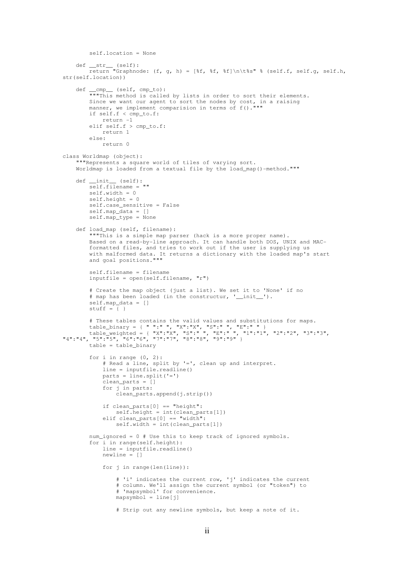```
        self.location = None
    def __str__ (self):
        return "Graphnode: (f, g, h) = [%f, %f, %f]\n\t%s" % (self.f, self.g, self.h,
str(self.location))
def __cmp__ (self, cmp_to):
        """This method is called by lists in order to sort their elements.
Since we want our agent to sort the nodes by cost, in a raising
        manner, we implement comparision in terms of f()."""
                 if self.f < cmp_to.f:
             return -1
                 elif self.f > cmp_to.f:
                        return 1
                 else:
                         return 0
class Worldmap (object):
         """Represents a square world of tiles of varying sort.
    Worldmap is loaded from a textual file by the load map()-method."""
        def __init__ (self):
         self.filename = ""
                 self.width = 0
                 self.height = 0
                self.case_sensitive = False
                 self.map_data = []
                 self.map_type = None
        def load_map (self, filename):
                 """This is a simple map parser (hack is a more proper name).
         Based on a read-by-line approach. It can handle both DOS, UNIX and MAC-
                 formatted files, and tries to work out if the user is supplying us
        with malformed data. It returns a dictionary with the loaded map's start
        and goal positions."""
                self.filename = filename
                inputfile = open(self.filename, "r")
                 # Create the map object (just a list). We set it to 'None' if no
         # map has been loaded (in the constructur, '_init_').
                 self.map_data = []
         stuff = \{\ )        # These tables contains the valid values and substitutions for maps.
        table_binary = { " ":" ", "X":"X", "S":" ", "E":" " }
        table_weighted = { "X":"X", "S":" ", "E":" ", "1":"1", "2":"2", "3":"3",
"4":"4", "5":"5", "6":"6", "7":"7", "8":"8", "9":"9" }
                table = table_binary
         for i in range (0, 2):
                         # Read a line, split by '=', clean up and interpret.
             line = input, where E_1parts = line.split('=')            clean_parts = []
                         for j in parts:
                                  clean_parts.append(j.strip())
                         if clean_parts[0] == "height":
                  self. height = int(clean_{parts}[1])elif clean parts[0] == "width":
                  self. width = int(clean_parts[1])        num_ignored = 0 # Use this to keep track of ignored symbols.
                 for i in range(self.height):
                         line = inputfile.readline()
             newline = []for j in range(len(line)):
                # 'i' indicates the current row, 'j' indicates the current
                # column. We'll assign the current symbol (or "token") to
                                  # 'mapsymbol' for convenience.
                                  mapsymbol = line[j]
                                  # Strip out any newline symbols, but keep a note of it.
```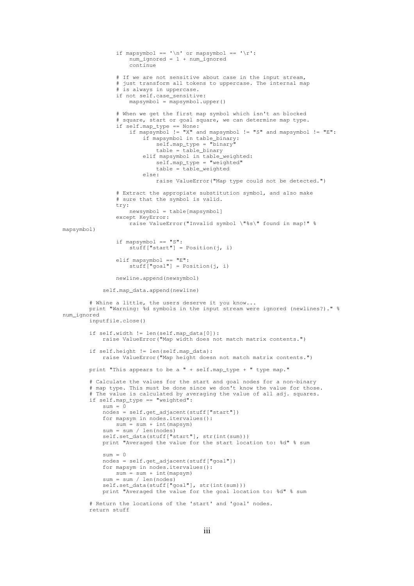```
if mapsymbol == '\n '\n' or mapsymbol == '\r:
                         num ignored = 1 + num ignored
                                             continue
                    # If we are not sensitive about case in the input stream,
                                    # just transform all tokens to uppercase. The internal map
                                    # is always in uppercase.
                                    if not self.case_sensitive:
                         mapsymbol = mapsymbol.upper()                # When we get the first map symbol which isn't an blocked
                    # square, start or goal square, we can determine map type.
                if self.map_type == None:
                    if mapsymbol != "X" and mapsymbol != "S" and mapsymbol != "E":
                                                      if mapsymbol in table_binary:
                                    self.\mathtt{map\_type} = \overline{"binary" }                            table = table_binary
                                                      elif mapsymbol in table_weighted:
                                                                self.map_type = "weighted"
                                    table = false weighted                        else:
                                                                raise ValueError("Map type could not be detected.")
                                    # Extract the appropiate substitution symbol, and also make
                                    # sure that the symbol is valid.
                                    try:
                         newsymbol = table[mapsymbol]
                                    except KeyError:
                                             raise ValueError("Invalid symbol \"%s\" found in map!" %
mapsymbol)
                                    if mapsymbol == "S":
                         stuff["start"] = Position(\vec{j}, i)
                                    elif mapsymbol == "E":
                          \text{stuff}["goal"] = Position(j, i)
                                    newline.append(newsymbol)
                           self.map_data.append(newline)
                  # Whine a little, the users deserve it you know...
                  print "Warning: %d symbols in the input stream were ignored (newlines?)." %
num_ignored
                  inputfile.close()
                  if self.width != len(self.map_data[0]):
                           raise ValueError("Map width does not match matrix contents.")
                  if self.height != len(self.map_data):
                           raise ValueError("Map height doesn not match matrix contents.")
                  print "This appears to be a " + self.map_type + " type map."
          # Calculate the values for the start and goal nodes for a non-binary
                  # map type. This must be done since we don't know the value for those.
                  # The value is calculated by averaging the value of all adj. squares.
                  if self.map_type == "weighted":
               sum = 0            nodes = self.get_adjacent(stuff["start"])
                           for mapsym in nodes.itervalues():
                   sum = sum + int(mapsym)            sum = sum / len(nodes)
               self.set_data(stuff["start"], str(int(sum)))
                           print "Averaged the value for the start location to: %d" % sum
               sum = 0            nodes = self.get_adjacent(stuff["goal"])
                           for mapsym in nodes.itervalues():
                   sum = sum + int(mapsym)            sum = sum / len(nodes)
               self.set_data(stuff["goal"], str(int(sum)))
                           print "Averaged the value for the goal location to: %d" % sum
                  # Return the locations of the 'start' and 'goal' nodes.
                  return stuff
```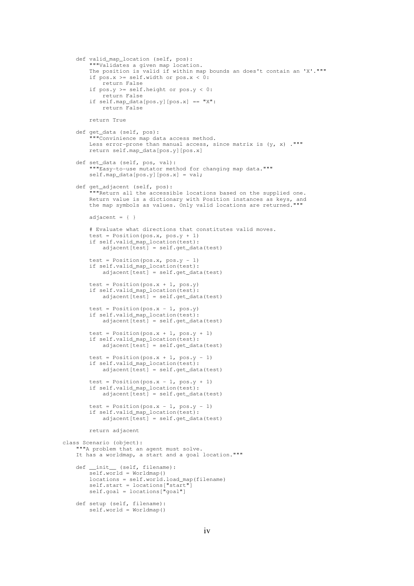```
def valid map location (self, pos):
                 """Validates a given map location.
                 The position is valid if within map bounds an does't contain an 'X'."""
         if pos.x \geq self.width or pos.x < 0:
                         return False
         if pos.y \geq self.height or pos.y < 0:
                         return False
         if self.map_data[pos.y][pos.x] == "X":
                         return False
                return True
        def get_data (self, pos):
                 """Convinience map data access method.
         Less error-prone than manual access, since matrix is (y, x)."""
                return self.map_data[pos.y][pos.x]
    def set_data (self, pos, val):
"""Easy-to-use mutator method for changing map data."""
                 self.map_data[pos.y][pos.x] = val;
        def get_adjacent (self, pos):
         """Return all the accessible locations based on the supplied one.
                Return value is a dictionary with Position instances as keys, and
                the map symbols as values. Only valid locations are returned."""
        adjacent = \{ \}        # Evaluate what directions that constitutes valid moves.
         test = Position(pos.x, pos.y + 1)
                 if self.valid_map_location(test):
             adiacent[test] = self.get_data(test)test = Position(pos.x, pos.y - 1)
        if self.valid_map_location(test):
            adjacent[test] = self.get_data(test)
         test = Position(pos.x + 1, pos.y)
                 if self.valid_map_location(test):
                         adjacent[test] = self.get_data(test)
        test = Position(pos.x - 1, pos.y)
                if self.valid_map_location(test):
                         adjacent[test] = self.get_data(test)
        test = Position(pos.x + 1, pos.y + 1)        if self.valid_map_location(test):
             adjacent[test] = self.get_data(test)test = Position(pos.x + 1, pos.y - 1)
                 if self.valid_map_location(test):
             adjacent[test] = self.get_data(test)test = Position(pos.x - 1, pos.y + 1)
                if self.valid_map_location(test):
                         adjacent[test] = self.get_data(test)
         test = Position(pos.x - 1, pos.y - 1)
                 if self.valid_map_location(test):
             adjacent[test] = self.get_data(test)        return adjacent
class Scenario (object):
     ""A problem that an agent must solve.
        It has a worldmap, a start and a goal location."""
        def __init__ (self, filename):
         self.world = Worldmap()
                locations = self.world.load_map(filename)
self.start = locations["start"]
        self.goal = locations["goal"]
        def setup (self, filename):
                 self.world = Worldmap()
```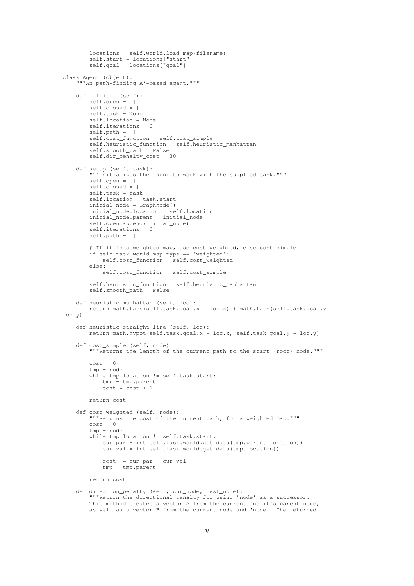```
locations = self.world.load map(filename)
         self.start = locations["start"]
         self.goal = locations["goal"]
class Agent (object):
      ""An path-finding A*-based agent."""
        def __init__ (self):
         \overline{\text{self.open}} = []        self.closed = []
         self. task = None        self.location = None
                 self.iterations = 0
                 self.path = []
                 self.cost_function = self.cost_simple
                 self.heuristic_function = self.heuristic_manhattan
                 self.smooth_path = False
                 self.dir_penalty_cost = 30
        def setup (self, task):
                  """Initializes the agent to work with the supplied task."""
                 self.open = []
                 self.closed = []
                 self.task = task
                 self.location = task.start
                 initial_node = Graphnode()
                 initial_node.location = self.location
                 initial_node.parent = initial_node
                 self.open.append(initial_node)
                 self.iterations = 0
                 self.path = []
                 # If it is a weighted map, use cost_weighted, else cost_simple
                 if self.task.world.map_type == "weighted":
                         self.cost_function = self.cost_weighted
                 else:
                          self.cost_function = self.cost_simple
                 self.heuristic_function = self.heuristic_manhattan
                 self.smooth_path = False
        def heuristic_manhattan (self, loc):
         return math.fabs(self.task.goal.x - loc.x) + math.fabs(self.task.goal.y -
loc.y)
        def heuristic_straight_line (self, loc):
         return math.hypot(self.task.goal.x - loc.x, self.task.goal.y - loc.y)
        def cost_simple (self, node):
                  """Returns the length of the current path to the start (root) node."""
         cost = 0        tmp = node
         while tmp.location != self.task.start:
                         tmp = tmp.parent
              cost = cost + 1        return cost
        def cost_weighted (self, node):
                 """Returns the cost of the current path, for a weighted map."""
         cost = 0        tmp = node
                 while tmp.location != self.task.start:
                          cur_par = int(self.task.world.get_data(tmp.parent.location))
                          cur_val = int(self.task.world.get_data(tmp.location))
              cost = cur\_par - cur\_valtmp = tmp.parent        return cost
        def direction_penalty (self, cur_node, test_node):
                 """Return the directional penalty for using 'node' as a successor.
                 This method creates a vector A from the current and it's parent node,
                 as well as a vector B from the current node and 'node'. The returned
```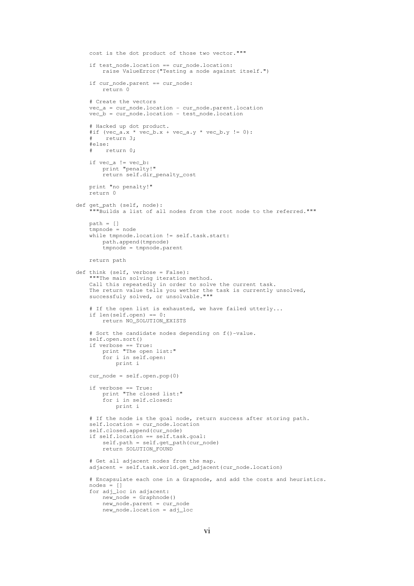```
        cost is the dot product of those two vector."""
                 if test_node.location == cur_node.location:
                          raise ValueError("Testing a node against itself.")
                 if cur_node.parent == cur_node:
                          return 0
                 # Create the vectors    
         vec_a = cur_node.location - cur_node.parent.location
                 vec_b = cur_node.location  test_node.location
        # Hacked up dot product.
#if (vec_a.x * vec_b.x + vec_a.y * vec_b.y != 0):
                 #    return 3;
                 #else:
                 #    return 0;
        if vec_a != vec_b:
            print "penalty!"
                          return self.dir_penalty_cost
                 print "no penalty!"
                 return 0
        def get_path (self, node):
                  """Builds a list of all nodes from the root node to the referred."""
                 path = []
                 tmpnode = node
                 while tmpnode.location != self.task.start:
                          path.append(tmpnode)
                          tmpnode = tmpnode.parent
                 return path
        def think (self, verbose = False):
        """The main solving iteration method.
        Call this repeatedly in order to solve the current task.
                 The return value tells you wether the task is currently unsolved,
                 successfuly solved, or unsolvable."""
         # If the open list is exhausted, we have failed utterly...
                 if len(self.open) == 0:
                          return NO_SOLUTION_EXISTS
         # Sort the candidate nodes depending on f()-value.
                 self.open.sort()
                 if verbose == True:
                          print "The open list:"
                          for i in self.open:
                                  print i
         cur\_node = self.open.pop(0)        if verbose == True:
            print "The closed list:"
                          for i in self.closed:
                                  print i
                 # If the node is the goal node, return success after storing path.
                 self.location = cur_node.location
                 self.closed.append(cur_node)
                 if self.location == self.task.goal:
                          self.path = self.get_path(cur_node)
                          return SOLUTION_FOUND
                 # Get all adjacent nodes from the map.
                 adjacent = self.task.world.get_adjacent(cur_node.location)
                 # Encapsulate each one in a Grapnode, and add the costs and heuristics.
         nodes = []        for adj_loc in adjacent:
                          new_node = Graphnode()
                          new_node.parent = cur_node
                          new_node.location = adj_loc
```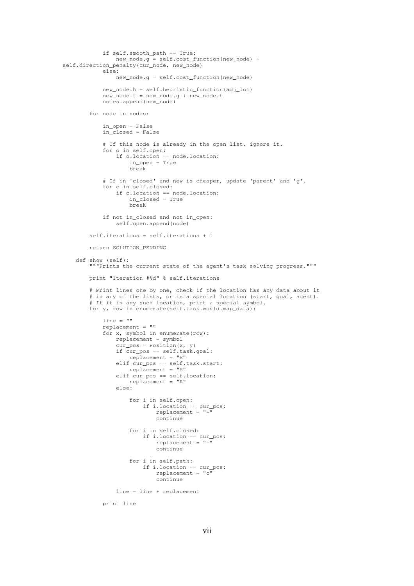```
            if self.smooth_path == True:
                new_node.g = self.cost_function(new_node) +
self.direction_penalty(cur_node, new_node)
                            else:
                                      new_node.g = self.cost_function(new_node)
                            new_node.h = self.heuristic_function(adj_loc)
                new\_node.f = new\_node.g + new\_node.h            nodes.append(new_node)
                   for node in nodes:
                            in_open = False
                in closed = False            # If this node is already in the open list, ignore it.
                            for o in self.open:
                                      if o.location == node.location:
                                               in_open = True
                                                break
                            # If in 'closed' and new is cheaper, update 'parent' and 'g'.
                            for c in self.closed:
                                      if c.location == node.location:
                                                in_closed = True
                                                break
                            if not in_closed and not in_open:
                                      self.open.append(node)
                   self.iterations = self.iterations + 1
                  return SOLUTION_PENDING
         def show (self):
                    """Prints the current state of the agent's task solving progress."""
                  print "Iteration #%d" % self.iterations
                   # Print lines one by one, check if the location has any data about it
           # in any of the lists, or is a special location (start, goal, agent).
           # If it is any such location, print a special symbol.
                   for y, row in enumerate(self.task.world.map_data):
                            line = ""
                            replacement = ""
                for x, symbol in enumerate(row):
                                      replacement = symbol
                      cur_ppos = Position(x, y)
                                      if cur_pos == self.task.goal:
                           replacement = "E"elif cur_{pos} == self.task.start:replacement = "S"                elif cur_pos == self.location:
                                               replacement = "A"
                                      else:
                                                for i in self.open:
                                                         if i.location == cur_pos:
                                      replacent = "+"                            continue
                                                for i in self.closed:
                                                         if i.location == cur_pos:
                                       replacent = "-"                            continue
                                                for i in self.path:
                                                          if i.location == cur_pos:
                                       replacement = "o"                            continue
                                      line = line + replacement
```
print line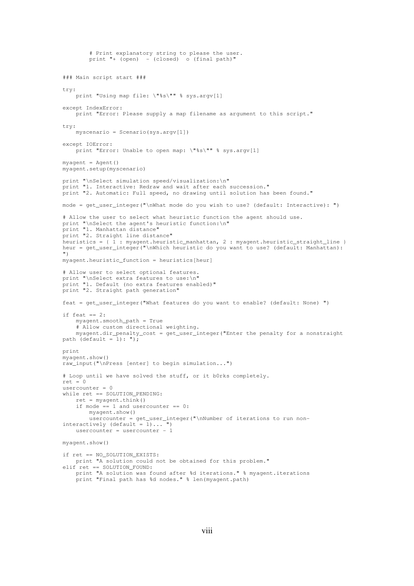```
        # Print explanatory string to please the user.
        print "+ (open) - (closed) \circ (final path)'
### Main script start ###
try:
    print "Using map file: \"%s\"" % sys.argv[1]
except IndexError:
       print "Error: Please supply a map filename as argument to this script."
try:
    myscenario = Scenario(sys.argv[1])except IOError:
   .<br>print "Error: Unable to open map: \"%s\"" % sys.argv[1]
mvacent = Agent()myagent.setup(myscenario)
print "\nSelect simulation speed/visualization:\n"
print "1. Interactive: Redraw and wait after each succession."
print "2. Automatic: Full speed, no drawing until solution has been found."
mode = get_user_integer("\nWhat mode do you wish to use? (default: Interactive): ")
# Allow the user to select what heuristic function the agent should use.
print "\nSelect the agent's heuristic function:\n"
print "1. Manhattan distance"
print "2. Straight line distance"
heuristics = { 1 : myagent.heuristic_manhattan, 2 : myagent.heuristic_straight_line }
heur = get_user_integer("\nWhich heuristic do you want to use? (default: Manhattan):
")
myagent.heuristic_function = heuristics[heur]
# Allow user to select optional features.
print "\nSelect extra features to use:\n"
print "1. Default (no extra features enabled)"
print "2. Straight path generation"
feat = get_user_integer("What features do you want to enable? (default: None) ")
if feat == 2:
        myagent.smooth_path = True
        # Allow custom directional weighting.
        myagent.dir_penalty_cost = get_user_integer("Enter the penalty for a nonstraight
path (default = 1): ");
print 
myagent.show()
raw_input("\nPress [enter] to begin simulation...")
# Loop until we have solved the stuff, or it b0rks completely.
ref = 0usercounter = 0while ret == SOLUTION PENDING:
    ret = myagent.think()    if mode == 1 and usercounter == 0:
               myagent.show()
                usercounter = get_user_integer("\nNumber of iterations to run non-
interactively (default = 1) \ldots ")
usercounter = usercounter - 1
myagent.show()
if ret == NO_SOLUTION_EXISTS:
       print "A solution could not be obtained for this problem."
elif ret == SOLUTION_FOUND:
        print "A solution was found after %d iterations." % myagent.iterations
        print "Final path has %d nodes." % len(myagent.path)
```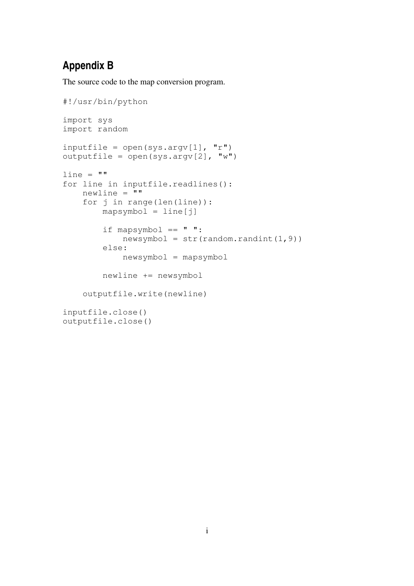## **Appendix B**

The source code to the map conversion program.

```
#!/usr/bin/python
import sys
import random
inputfile = open(sys.argv[1], "r")outputfile = open(sys.argv[2], "w")line = "for line in inputfile.readlines():
        newline = ""
        for j in range(len(line)):
                 mapsymbol = line[j]
         if mapsymbol == " " :newsymbol = str(range, random.random(1, 9))        else:
                         newsymbol = mapsymbol
                 newline += newsymbol
        outputfile.write(newline)
inputfile.close()
outputfile.close()
```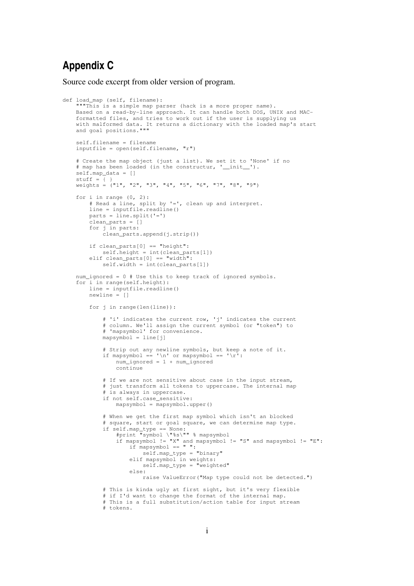## **Appendix C**

Source code excerpt from older version of program.

```
def load_map (self, filename):
         """This is a simple map parser (hack is a more proper name).
    Based on a read-by-line approach. It can handle both DOS, UNIX and MAC-
        formatted files, and tries to work out if the user is supplying us
    with malformed data. It returns a dictionary with the loaded map's start
    and goal positions."""
        self.filename = filename
        inputfile = open(self.filename, "r")
    # Create the map object (just a list). We set it to 'None' if no
    # map has been loaded (in the constructur, '__init__').
        self.map_data = []
    stuff = \{\ )    weights = ("1", "2", "3", "4", "5", "6", "7", "8", "9")
        for i in range (0, 2):
                 # Read a line, split by '=', clean up and interpret.
         \lim_{n \to \infty} inputfile.readline()
                 parts = line.split('=')
                 clean_parts = []
                 for j in parts:
                          clean_parts.append(j.strip())
                 if clean_parts[0] == "height":
             self. height = int(clean\_parts[1])        elif clean_parts[0] == "width":
            self.width = int(clean_parts[1])
        num_ignored = 0 # Use this to keep track of ignored symbols.
        for i in range(self.height):
                 line = inputfile.readline()
         newline = 1        for j in range(len(line)):
                          # 'i' indicates the current row, 'j' indicates the current
            # column. We'll assign the current symbol (or "token") to
            # 'mapsymbol' for convenience.
              mapsymbol = line[j]            # Strip out any newline symbols, but keep a note of it.
              if mapsymbol == '\n '\n' or mapsymbol == '\r:
                                  num_ignored = 1 + num_ignored
                                  continue
                          # If we are not sensitive about case in the input stream,
                          # just transform all tokens to uppercase. The internal map
              # is always in uppercase.
                          if not self.case_sensitive:
                  mapsymbol = mapsymbol.upper()            # When we get the first map symbol which isn't an blocked
                          # square, start or goal square, we can determine map type.
            if self.map_type == None:
                #print "symbol \"%s\"" % mapsymbol
                if mapsymbol != "X" and mapsymbol != "S" and mapsymbol != "E":
                       if mapsymbol == " ":
                                                    self.map_type = "binary"
                                           elif mapsymbol in weights:
                                                    self.map_type = "weighted"
                                           else:
                                                    raise ValueError("Map type could not be detected.")
                          # This is kinda ugly at first sight, but it's very flexible
              # if I'd want to change the format of the internal map.
                          # This is a full substitution/action table for input stream
                          # tokens.
```